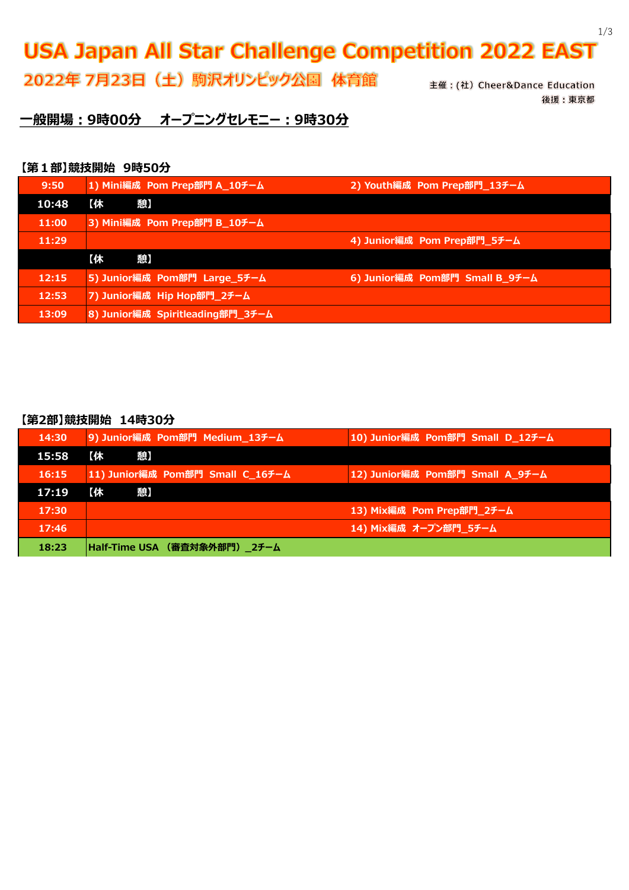# **USA Japan All Star Challenge Competition 2022 EAST**

2022年 7月23日 (土) 駒沢オリンピック公園 体育館

主催: (社) Cheer&Dance Education 後援:東京都

**一般開場:9時00分 オープニングセレモニー:9時30分**

#### **【第1部】競技開始 9時50分**

| 9:50  | 1) Mini編成 Pom Prep部門 A_10チーム     | 2) Youth編成 Pom Prep部門 13チーム    |
|-------|----------------------------------|--------------------------------|
| 10:48 | 【休<br>憩】                         |                                |
| 11:00 | 3) Mini編成 Pom Prep部門 B_10チーム     |                                |
| 11:29 |                                  | 4) Junior編成 Pom Prep部門_5チーム    |
|       | 【休<br>憩】                         |                                |
| 12:15 | 5) Junior編成 Pom部門 Large_5チーム     | 6) Junior編成 Pom部門 Small B_9チーム |
| 12:53 | 7) Junior編成 Hip Hop部門_2チーム       |                                |
| 13:09 | 8) Junior編成 Spiritleading部門_3チーム |                                |

#### **【第2部】競技開始 14時30分**

| 14:30 | 9) Junior編成 Pom部門 Medium_13チーム   | 10) Junior編成 Pom部門 Small D_12チーム |
|-------|----------------------------------|----------------------------------|
| 15:58 | 【休】                              |                                  |
| 16:15 | 11) Junior編成 Pom部門 Small C_16チーム | 12) Junior編成 Pom部門 Small A_9チーム  |
| 17:19 | 【休<br>憩】                         |                                  |
| 17:30 |                                  | 13) Mix編成 Pom Prep部門 2チーム        |
| 17:46 |                                  | 14) Mix編成 オープン部門_5チーム            |
| 18:23 | Half-Time USA (審査対象外部門)_2チーム     |                                  |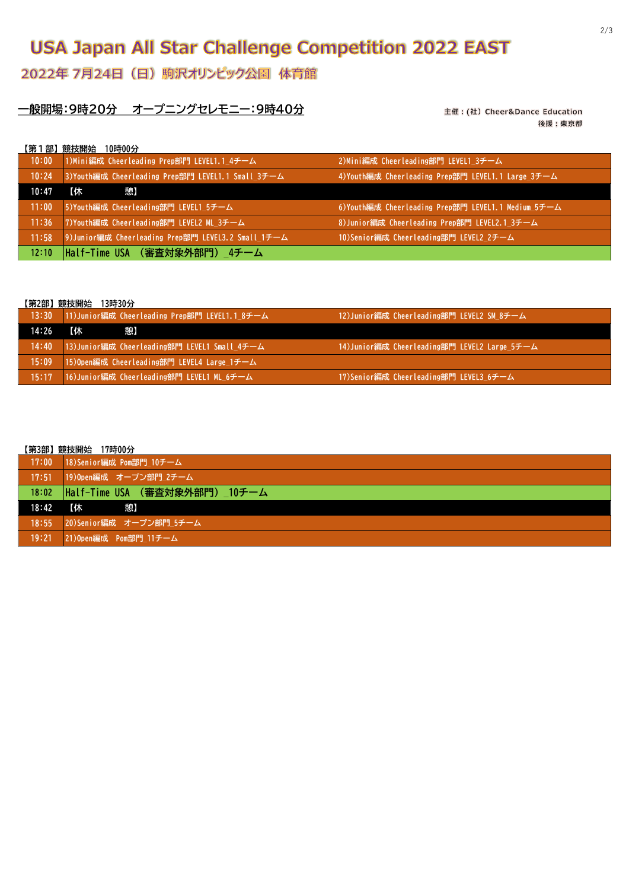## **USA Japan All Star Challenge Competition 2022 EAST**

### 2022年 7月24日 (日) 駒沢オリンピック公園 体育館

### **一般開場:9時20分 オープニングセレモニー:9時40分**

主催: (社) Cheer&Dance Education 後援:東京都

| 【第1部】競技開始 | 10時00分 |                                                    |                                                    |
|-----------|--------|----------------------------------------------------|----------------------------------------------------|
| 10:00     |        | 1)Mini編成 Cheerleading Prep部門 LEVEL1.1_4チーム         | 2)Mini編成 Cheerleading部門 LEVEL1 3チーム                |
| 10:24     |        | 3)Youth編成 Cheerleading Prep部門 LEVEL1.1 Small 3チーム  | 4) Youth編成 Cheerleading Prep部門 LEVEL1.1 Large 3チーム |
| 10:47     | 【休     | 憩】                                                 |                                                    |
| 11:00     |        | 5)Youth編成 Cheerleading部門 LEVEL1 5チーム               | 6)Youth編成 Cheerleading Prep部門 LEVEL1.1 Medium 5チーム |
| 11:36     |        | 7)Youth編成 Cheerleading部門 LEVEL2 ML 3チーム            | 8)Junior編成 Cheerleading Prep部門 LEVEL2.1 3チーム       |
| 11:58     |        | 9)Junior編成 Cheerleading Prep部門 LEVEL3.2 Small 1チーム | 10)Senior編成 Cheerleading部門 LEVEL2 2チーム             |
| 12:10     |        | Half-Time USA (審査対象外部門)_4チーム                       |                                                    |

#### **【第2部】競技開始 13時30分**

| 13:30 | 11)Junior編成 Cheerleading Prep部門 LEVEL1.1 8チーム | 12)Junior編成 Cheerleading部門 LEVEL2 SM 8チーム    |
|-------|-----------------------------------------------|----------------------------------------------|
| 14:26 | 【休<br>憩】                                      |                                              |
| 14:40 | 13)Junior編成 Cheerleading部門 LEVEL1 Small 4チーム  | 14)Junior編成 Cheerleading部門 LEVEL2 Large 5チーム |
| 15:09 | 15)Open編成 Cheerleading部門 LEVEL4 Large 1チーム    |                                              |
| 15:17 | 16)Junior編成 Cheerleading部門 LEVEL1 ML_6チーム     | 17)Senior編成 Cheerleading部門 LEVEL3_6チーム       |

#### **【第3部】競技開始 17時00分**

|       | $\blacksquare$                                                             |
|-------|----------------------------------------------------------------------------|
|       | 17:00 18)Senior編成 Pom部門 10チーム                                              |
| 17:51 | 19)Open編成 オープン部門_2チーム                                                      |
|       | 18:02  Half-Time USA (審査対象外部門) 10チーム                                       |
| 18:42 | 【休<br>こうしょう かんこう きょうきょう きょうかい きょうしょう きょうしょう こうきょう こうきょう こうきょう かいきょう しゅうしょう |
| 18:55 | 20)Senior編成 オープン部門_5チーム                                                    |
| 19:21 | 21)Open編成 Pom部門 11チーム                                                      |